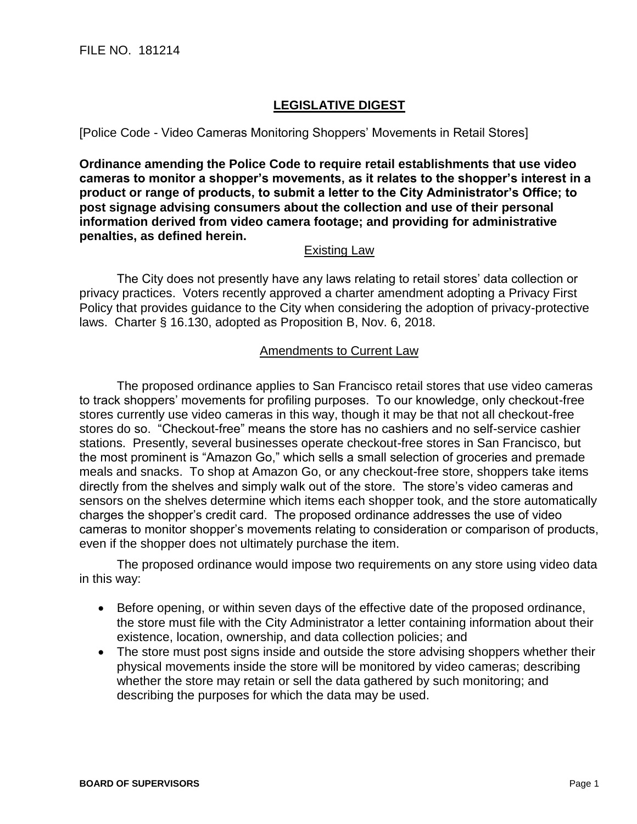## **LEGISLATIVE DIGEST**

[Police Code - Video Cameras Monitoring Shoppers' Movements in Retail Stores]

**Ordinance amending the Police Code to require retail establishments that use video cameras to monitor a shopper's movements, as it relates to the shopper's interest in a product or range of products, to submit a letter to the City Administrator's Office; to post signage advising consumers about the collection and use of their personal information derived from video camera footage; and providing for administrative penalties, as defined herein.**

## Existing Law

The City does not presently have any laws relating to retail stores' data collection or privacy practices. Voters recently approved a charter amendment adopting a Privacy First Policy that provides guidance to the City when considering the adoption of privacy-protective laws. Charter § 16.130, adopted as Proposition B, Nov. 6, 2018.

## Amendments to Current Law

The proposed ordinance applies to San Francisco retail stores that use video cameras to track shoppers' movements for profiling purposes. To our knowledge, only checkout-free stores currently use video cameras in this way, though it may be that not all checkout-free stores do so. "Checkout-free" means the store has no cashiers and no self-service cashier stations. Presently, several businesses operate checkout-free stores in San Francisco, but the most prominent is "Amazon Go," which sells a small selection of groceries and premade meals and snacks. To shop at Amazon Go, or any checkout-free store, shoppers take items directly from the shelves and simply walk out of the store. The store's video cameras and sensors on the shelves determine which items each shopper took, and the store automatically charges the shopper's credit card. The proposed ordinance addresses the use of video cameras to monitor shopper's movements relating to consideration or comparison of products, even if the shopper does not ultimately purchase the item.

The proposed ordinance would impose two requirements on any store using video data in this way:

- Before opening, or within seven days of the effective date of the proposed ordinance, the store must file with the City Administrator a letter containing information about their existence, location, ownership, and data collection policies; and
- The store must post signs inside and outside the store advising shoppers whether their physical movements inside the store will be monitored by video cameras; describing whether the store may retain or sell the data gathered by such monitoring; and describing the purposes for which the data may be used.